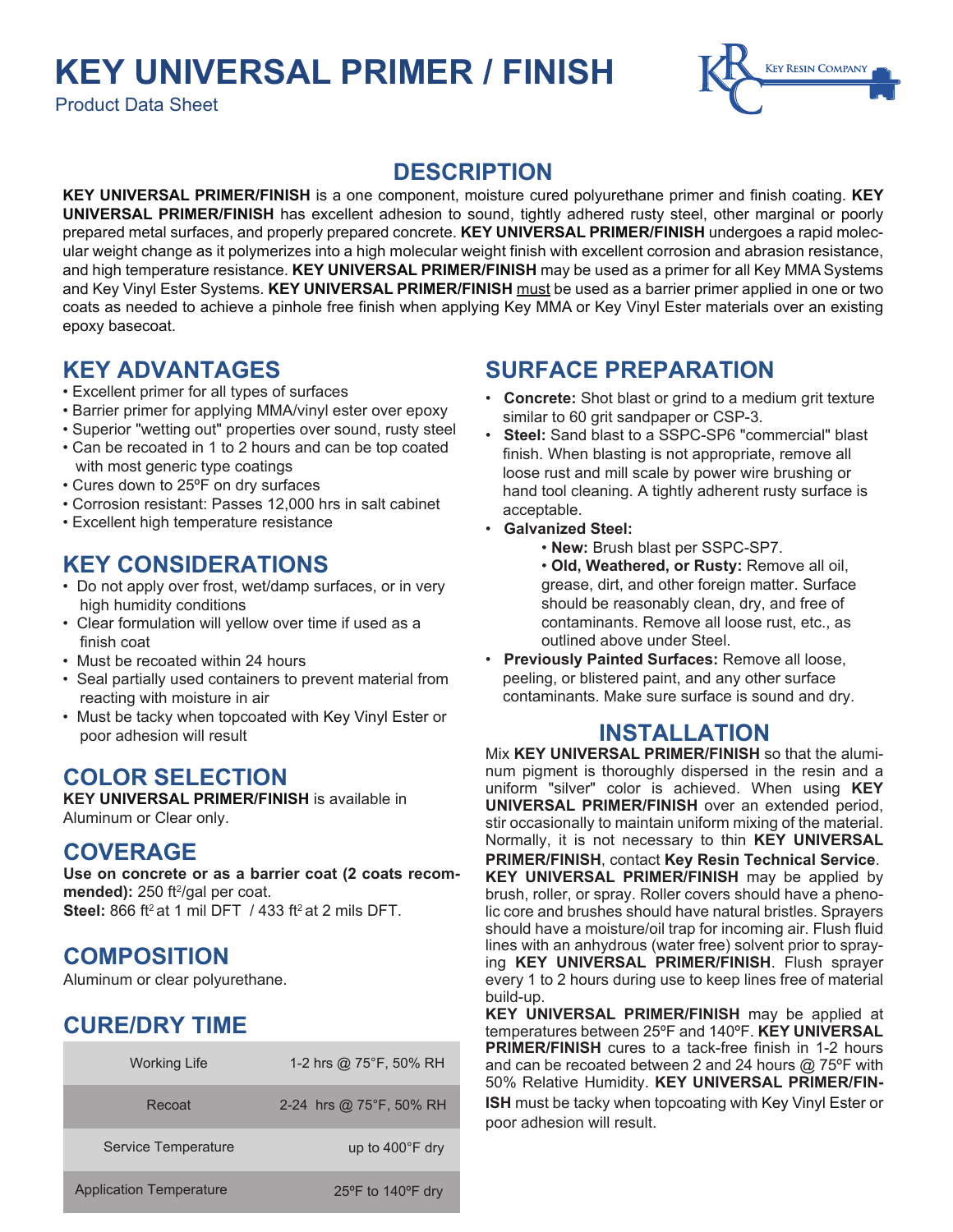## **KEY UNIVERSAL PRIMER / FINISH**

Product Data Sheet



#### **DESCRIPTION**

**KEY UNIVERSAL PRIMER/FINISH** is a one component, moisture cured polyurethane primer and finish coating. **KEY UNIVERSAL PRIMER/FINISH** has excellent adhesion to sound, tightly adhered rusty steel, other marginal or poorly prepared metal surfaces, and properly prepared concrete. **KEY UNIVERSAL PRIMER/FINISH** undergoes a rapid molecular weight change as it polymerizes into a high molecular weight finish with excellent corrosion and abrasion resistance, and high temperature resistance. **KEY UNIVERSAL PRIMER/FINISH** may be used as a primer for all Key MMA Systems and Key Vinyl Ester Systems. **KEY UNIVERSAL PRIMER/FINISH** must be used as a barrier primer applied in one or two coats as needed to achieve a pinhole free finish when applying Key MMA or Key Vinyl Ester materials over an existing epoxy basecoat.

## **KEY ADVANTAGES**

- Excellent primer for all types of surfaces
- Barrier primer for applying MMA/vinyl ester over epoxy
- Superior "wetting out" properties over sound, rusty steel
- Can be recoated in 1 to 2 hours and can be top coated with most generic type coatings
- Cures down to 25ºF on dry surfaces
- Corrosion resistant: Passes 12,000 hrs in salt cabinet
- Excellent high temperature resistance

#### **KEY CONSIDERATIONS**

- Do not apply over frost, wet/damp surfaces, or in very high humidity conditions
- Clear formulation will yellow over time if used as a finish coat
- Must be recoated within 24 hours
- Seal partially used containers to prevent material from reacting with moisture in air
- Must be tacky when topcoated with Key Vinyl Ester or poor adhesion will result

## **COLOR SELECTION**

**KEY UNIVERSAL PRIMER/FINISH** is available in Aluminum or Clear only.

#### **COVERAGE**

**Use on concrete or as a barrier coat (2 coats recom**mended): 250 ft<sup>2</sup>/gal per coat. **Steel:** 866 ft<sup>2</sup> at 1 mil DFT / 433 ft<sup>2</sup> at 2 mils DFT

## **COMPOSITION**

Aluminum or clear polyurethane.

## **CURE/DRY TIME**

| <b>Working Life</b>            | 1-2 hrs @ 75°F, 50% RH    |
|--------------------------------|---------------------------|
| Recoat                         | 2-24 hrs @ 75°F, 50% RH   |
| Service Temperature            | up to $400^{\circ}$ F dry |
| <b>Application Temperature</b> | 25°F to 140°F dry         |

## **SURFACE PREPARATION**

- **Concrete:** Shot blast or grind to a medium grit texture similar to 60 grit sandpaper or CSP-3.
- **Steel:** Sand blast to a SSPC-SP6 "commercial" blast finish. When blasting is not appropriate, remove all loose rust and mill scale by power wire brushing or hand tool cleaning. A tightly adherent rusty surface is acceptable.
- **Galvanized Steel:**
	- **New:** Brush blast per SSPC-SP7.

 • **Old, Weathered, or Rusty:** Remove all oil, grease, dirt, and other foreign matter. Surface should be reasonably clean, dry, and free of contaminants. Remove all loose rust, etc., as outlined above under Steel.

• **Previously Painted Surfaces:** Remove all loose, peeling, or blistered paint, and any other surface contaminants. Make sure surface is sound and dry.

#### **INSTALLATION**

Mix **KEY UNIVERSAL PRIMER/FINISH** so that the aluminum pigment is thoroughly dispersed in the resin and a uniform "silver" color is achieved. When using **KEY UNIVERSAL PRIMER/FINISH** over an extended period, stir occasionally to maintain uniform mixing of the material. Normally, it is not necessary to thin **KEY UNIVERSAL PRIMER/FINISH**, contact **Key Resin Technical Service**. **KEY UNIVERSAL PRIMER/FINISH** may be applied by brush, roller, or spray. Roller covers should have a phenolic core and brushes should have natural bristles. Sprayers should have a moisture/oil trap for incoming air. Flush fluid lines with an anhydrous (water free) solvent prior to spraying **KEY UNIVERSAL PRIMER/FINISH**. Flush sprayer every 1 to 2 hours during use to keep lines free of material build-up.

**KEY UNIVERSAL PRIMER/FINISH** may be applied at temperatures between 25ºF and 140ºF. **KEY UNIVERSAL PRIMER/FINISH** cures to a tack-free finish in 1-2 hours and can be recoated between 2 and 24 hours @ 75ºF with 50% Relative Humidity. **KEY UNIVERSAL PRIMER/FIN-ISH** must be tacky when topcoating with Key Vinyl Ester or poor adhesion will result.